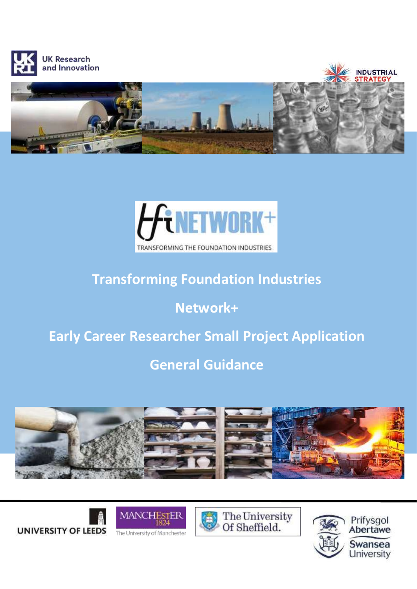



# **Transforming Foundation Industries**

# **Network+**

# **Early Career Researcher Small Project Application**

# **General Guidance**











**UNIVERSITY OF LEEDS**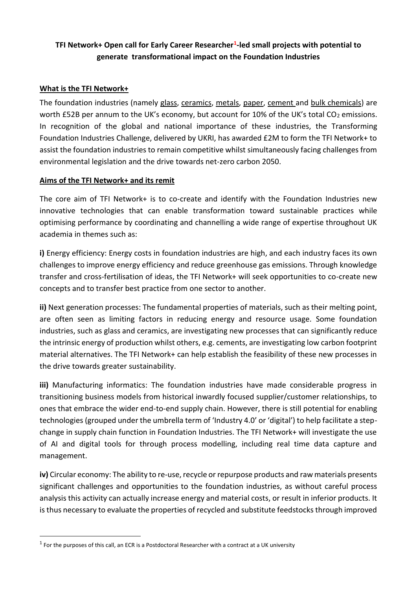## **TFI Network+ Open call for Early Career Researcher<sup>1</sup> -led small projects with potential to generate transformational impact on the Foundation Industries**

#### **What is the TFI Network+**

The foundation industries (namely glass, ceramics, metals, paper, cement and bulk chemicals) are worth £52B per annum to the UK's economy, but account for 10% of the UK's total  $CO<sub>2</sub>$  emissions. In recognition of the global and national importance of these industries, the Transforming Foundation Industries Challenge, delivered by UKRI, has awarded £2M to form the TFI Network+ to assist the foundation industries to remain competitive whilst simultaneously facing challenges from environmental legislation and the drive towards net-zero carbon 2050.

#### **Aims of the TFI Network+ and its remit**

The core aim of TFI Network+ is to co-create and identify with the Foundation Industries new innovative technologies that can enable transformation toward sustainable practices while optimising performance by coordinating and channelling a wide range of expertise throughout UK academia in themes such as:

**i)** Energy efficiency: Energy costs in foundation industries are high, and each industry faces its own challenges to improve energy efficiency and reduce greenhouse gas emissions. Through knowledge transfer and cross-fertilisation of ideas, the TFI Network+ will seek opportunities to co-create new concepts and to transfer best practice from one sector to another.

**ii)** Next generation processes: The fundamental properties of materials, such as their melting point, are often seen as limiting factors in reducing energy and resource usage. Some foundation industries, such as glass and ceramics, are investigating new processes that can significantly reduce the intrinsic energy of production whilst others, e.g. cements, are investigating low carbon footprint material alternatives. The TFI Network+ can help establish the feasibility of these new processes in the drive towards greater sustainability.

**iii)** Manufacturing informatics: The foundation industries have made considerable progress in transitioning business models from historical inwardly focused supplier/customer relationships, to ones that embrace the wider end-to-end supply chain. However, there is still potential for enabling technologies (grouped under the umbrella term of 'Industry 4.0' or 'digital') to help facilitate a stepchange in supply chain function in Foundation Industries. The TFI Network+ will investigate the use of AI and digital tools for through process modelling, including real time data capture and management.

**iv)** Circular economy: The ability to re-use, recycle or repurpose products and raw materials presents significant challenges and opportunities to the foundation industries, as without careful process analysis this activity can actually increase energy and material costs, or result in inferior products. It is thus necessary to evaluate the properties of recycled and substitute feedstocks through improved

 $\overline{a}$ 

 $<sup>1</sup>$  For the purposes of this call, an ECR is a Postdoctoral Researcher with a contract at a UK university</sup>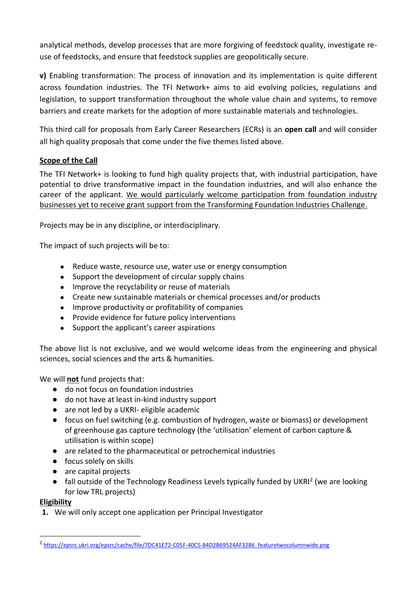analytical methods, develop processes that are more forgiving of feedstock quality, investigate reuse of feedstocks, and ensure that feedstock supplies are geopolitically secure.

**v)** Enabling transformation: The process of innovation and its implementation is quite different across foundation industries. The TFI Network+ aims to aid evolving policies, regulations and legislation, to support transformation throughout the whole value chain and systems, to remove barriers and create markets for the adoption of more sustainable materials and technologies.

This third call for proposals from Early Career Researchers (ECRs) is an **open call** and will consider all high quality proposals that come under the five themes listed above.

## **Scope of the Call**

The TFI Network+ is looking to fund high quality projects that, with industrial participation, have potential to drive transformative impact in the foundation industries, and will also enhance the career of the applicant. We would particularly welcome participation from foundation industry businesses yet to receive grant support from the Transforming Foundation Industries Challenge.

Projects may be in any discipline, or interdisciplinary.

The impact of such projects will be to:

- Reduce waste, resource use, water use or energy consumption
- Support the development of circular supply chains
- Improve the recyclability or reuse of materials
- Create new sustainable materials or chemical processes and/or products
- Improve productivity or profitability of companies
- Provide evidence for future policy interventions
- Support the applicant's career aspirations

The above list is not exclusive, and we would welcome ideas from the engineering and physical sciences, social sciences and the arts & humanities.

We will **not** fund projects that:

- do not focus on foundation industries
- do not have at least in-kind industry support
- are not led by a UKRI- eligible academic
- focus on fuel switching (e.g. combustion of hydrogen, waste or biomass) or development of greenhouse gas capture technology (the 'utilisation' element of carbon capture & utilisation is within scope)
- are related to the pharmaceutical or petrochemical industries
- focus solely on skills
- are capital projects
- fall outside of the Technology Readiness Levels typically funded by UKRI<sup>2</sup> (we are looking for low TRL projects)

## **Eligibility**

 $\overline{a}$ 

**1.** We will only accept one application per Principal Investigator

<sup>&</sup>lt;sup>2</sup> [https://epsrc.ukri.org/epsrc/cache/file/7DC41E72-C05F-40C5-84D2B69524AF3286\\_featuretwocolumnwide.png](https://epsrc.ukri.org/epsrc/cache/file/7DC41E72-C05F-40C5-84D2B69524AF3286_featuretwocolumnwide.png)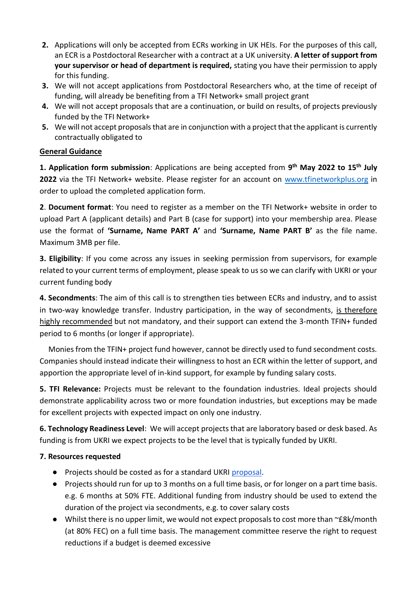- **2.** Applications will only be accepted from ECRs working in UK HEIs. For the purposes of this call, an ECR is a Postdoctoral Researcher with a contract at a UK university. **A letter of support from your supervisor or head of department is required,** stating you have their permission to apply for this funding.
- **3.** We will not accept applications from Postdoctoral Researchers who, at the time of receipt of funding, will already be benefiting from a TFI Network+ small project grant
- **4.** We will not accept proposals that are a continuation, or build on results, of projects previously funded by the TFI Network+
- **5.** We will not accept proposals that are in conjunction with a project that the applicant is currently contractually obligated to

#### **General Guidance**

**1. Application form submission**: Applications are being accepted from **9 th May 2022 to 15th July 2022** via the TFI Network+ website. Please register for an account on [www.tfinetworkplus.org](http://www.tfinetworkplus.org/) in order to upload the completed application form.

**2**. **Document format**: You need to register as a member on the TFI Network+ website in order to upload Part A (applicant details) and Part B (case for support) into your membership area. Please use the format of **'Surname, Name PART A'** and **'Surname, Name PART B'** as the file name. Maximum 3MB per file.

**3. Eligibility**: If you come across any issues in seeking permission from supervisors, for example related to your current terms of employment, please speak to us so we can clarify with UKRI or your current funding body

**4. Secondments**: The aim of this call is to strengthen ties between ECRs and industry, and to assist in two-way knowledge transfer. Industry participation, in the way of secondments, is therefore highly recommended but not mandatory, and their support can extend the 3-month TFIN+ funded period to 6 months (or longer if appropriate).

 Monies from the TFIN+ project fund however, cannot be directly used to fund secondment costs. Companies should instead indicate their willingness to host an ECR within the letter of support, and apportion the appropriate level of in-kind support, for example by funding salary costs.

**5. TFI Relevance:** Projects must be relevant to the foundation industries. Ideal projects should demonstrate applicability across two or more foundation industries, but exceptions may be made for excellent projects with expected impact on only one industry.

**6. Technology Readiness Level**: We will accept projects that are laboratory based or desk based. As funding is from UKRI we expect projects to be the level that is typically funded by UKRI.

#### **7. Resources requested**

- Projects should be costed as for a standard UKRI [proposal.](https://epsrc.ukri.org/funding/applicationprocess/preparing/writing/jor/)
- Projects should run for up to 3 months on a full time basis, or for longer on a part time basis. e.g. 6 months at 50% FTE. Additional funding from industry should be used to extend the duration of the project via secondments, e.g. to cover salary costs
- Whilst there is no upper limit, we would not expect proposals to cost more than ~£8k/month (at 80% FEC) on a full time basis. The management committee reserve the right to request reductions if a budget is deemed excessive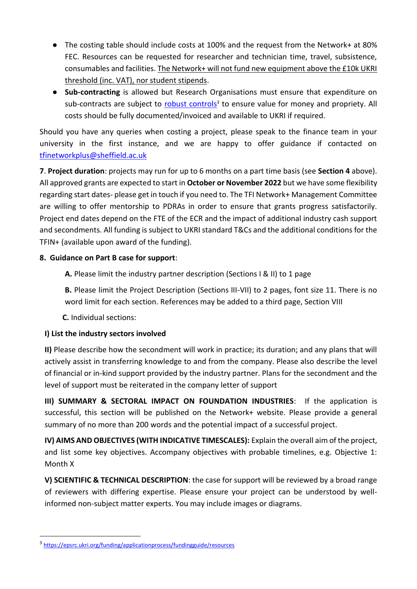- The costing table should include costs at 100% and the request from the Network+ at 80% FEC. Resources can be requested for researcher and technician time, travel, subsistence, consumables and facilities. The Network+ will not fund new equipment above the £10k UKRI threshold (inc. VAT), nor student stipends.
- **Sub-contracting** is allowed but Research Organisations must ensure that expenditure on sub-contracts are subject to **robust controls**<sup>3</sup> to ensure value for money and propriety. All costs should be fully documented/invoiced and available to UKRI if required.

Should you have any queries when costing a project, please speak to the finance team in your university in the first instance, and we are happy to offer guidance if contacted on [tfinetworkplus@sheffield.ac.uk](mailto:tfinetworkplus@sheffield.ac.uk)

**7**. **Project duration**: projects may run for up to 6 months on a part time basis (see **Section 4** above). All approved grants are expected to start in **October or November 2022** but we have some flexibility regarding start dates- please get in touch if you need to. The TFI Network+ Management Committee are willing to offer mentorship to PDRAs in order to ensure that grants progress satisfactorily. Project end dates depend on the FTE of the ECR and the impact of additional industry cash support and secondments. All funding is subject to UKRI standard T&Cs and the additional conditions for the TFIN+ (available upon award of the funding).

#### **8. Guidance on Part B case for support**:

**A.** Please limit the industry partner description (Sections I & II) to 1 page

**B.** Please limit the Project Description (Sections III-VII) to 2 pages, font size 11. There is no word limit for each section. References may be added to a third page, Section VIII

**C.** Individual sections:

## **I) List the industry sectors involved**

**II)** Please describe how the secondment will work in practice; its duration; and any plans that will actively assist in transferring knowledge to and from the company. Please also describe the level of financial or in-kind support provided by the industry partner. Plans for the secondment and the level of support must be reiterated in the company letter of support

**III) SUMMARY & SECTORAL IMPACT ON FOUNDATION INDUSTRIES**: If the application is successful, this section will be published on the Network+ website. Please provide a general summary of no more than 200 words and the potential impact of a successful project.

**IV) AIMS AND OBJECTIVES (WITH INDICATIVE TIMESCALES):** Explain the overall aim of the project, and list some key objectives. Accompany objectives with probable timelines, e.g. Objective 1: Month X

**V) SCIENTIFIC & TECHNICAL DESCRIPTION**: the case for support will be reviewed by a broad range of reviewers with differing expertise. Please ensure your project can be understood by wellinformed non-subject matter experts. You may include images or diagrams.

 $\overline{a}$ 

<sup>3</sup> <https://epsrc.ukri.org/funding/applicationprocess/fundingguide/resources>